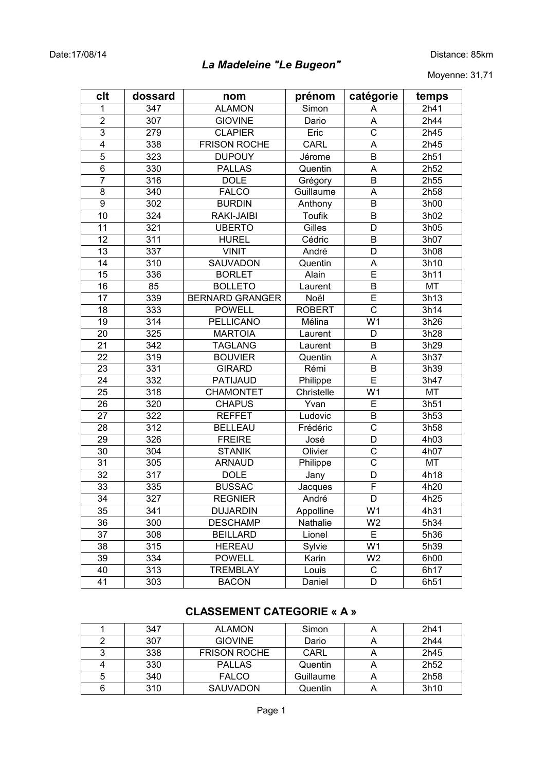# *La Madeleine "Le Bugeon"*

Moyenne: 31,71

| clt            | dossard | nom                    | prénom        | catégorie               | temps     |
|----------------|---------|------------------------|---------------|-------------------------|-----------|
| 1              | 347     | <b>ALAMON</b>          | Simon         | A                       | 2h41      |
| $\mathbf{2}$   | 307     | <b>GIOVINE</b>         | Dario         | A                       | 2h44      |
| 3              | 279     | <b>CLAPIER</b>         | Eric          | C                       | 2h45      |
| 4              | 338     | <b>FRISON ROCHE</b>    | CARL          | A                       | 2h45      |
| 5              | 323     | <b>DUPOUY</b>          | Jérome        | B                       | 2h51      |
| 6              | 330     | <b>PALLAS</b>          | Quentin       | A                       | 2h52      |
| $\overline{7}$ | 316     | <b>DOLE</b>            | Grégory       | B                       | 2h55      |
| 8              | 340     | <b>FALCO</b>           | Guillaume     | A                       | 2h58      |
| $\overline{9}$ | 302     | <b>BURDIN</b>          | Anthony       | B                       | 3h00      |
| 10             | 324     | RAKI-JAIBI             | Toufik        | B                       | 3h02      |
| 11             | 321     | <b>UBERTO</b>          | Gilles        | D                       | 3h05      |
| 12             | 311     | <b>HUREL</b>           | Cédric        | B                       | 3h07      |
| 13             | 337     | <b>VINIT</b>           | André         | D                       | 3h08      |
| 14             | 310     | SAUVADON               | Quentin       | A                       | 3h10      |
| 15             | 336     | <b>BORLET</b>          | Alain         | $\overline{\mathsf{E}}$ | 3h11      |
| 16             | 85      | <b>BOLLETO</b>         | Laurent       | B                       | MT        |
| 17             | 339     | <b>BERNARD GRANGER</b> | Noël          | E                       | 3h13      |
| 18             | 333     | <b>POWELL</b>          | <b>ROBERT</b> | $\overline{\mathrm{c}}$ | 3h14      |
| 19             | 314     | PELLICANO              | Mélina        | $\overline{W1}$         | 3h26      |
| 20             | 325     | <b>MARTOIA</b>         | Laurent       | D                       | 3h28      |
| 21             | 342     | <b>TAGLANG</b>         | Laurent       | B                       | 3h29      |
| 22             | 319     | <b>BOUVIER</b>         | Quentin       | A                       | 3h37      |
| 23             | 331     | <b>GIRARD</b>          | Rémi          | B                       | 3h39      |
| 24             | 332     | PATIJAUD               | Philippe      | E                       | 3h47      |
| 25             | 318     | <b>CHAMONTET</b>       | Christelle    | W <sub>1</sub>          | <b>MT</b> |
| 26             | 320     | <b>CHAPUS</b>          | Yvan          | Ē                       | 3h51      |
| 27             | 322     | <b>REFFET</b>          | Ludovic       | B                       | 3h53      |
| 28             | 312     | <b>BELLEAU</b>         | Frédéric      | $\overline{\text{c}}$   | 3h58      |
| 29             | 326     | <b>FREIRE</b>          | José          | D                       | 4h03      |
| 30             | 304     | <b>STANIK</b>          | Olivier       | C                       | 4h07      |
| 31             | 305     | <b>ARNAUD</b>          | Philippe      | $\mathsf C$             | MT        |
| 32             | 317     | <b>DOLE</b>            | Jany          | D                       | 4h18      |
| 33             | 335     | <b>BUSSAC</b>          | Jacques       | F                       | 4h20      |
| 34             | 327     | <b>REGNIER</b>         | André         | D                       | 4h25      |
| 35             | 341     | <b>DUJARDIN</b>        | Appolline     | W1                      | 4h31      |
| 36             | 300     | <b>DESCHAMP</b>        | Nathalie      | W <sub>2</sub>          | 5h34      |
| 37             | 308     | <b>BEILLARD</b>        | Lionel        | E                       | 5h36      |
| 38             | 315     | <b>HEREAU</b>          | Sylvie        | W <sub>1</sub>          | 5h39      |
| 39             | 334     | <b>POWELL</b>          | Karin         | W <sub>2</sub>          | 6h00      |
| 40             | 313     | <b>TREMBLAY</b>        | Louis         | C                       | 6h17      |
| 41             | 303     | <b>BACON</b>           | Daniel        | D                       | 6h51      |

## **CLASSEMENT CATEGORIE « A »**

|   | 347 | <b>ALAMON</b>       | Simon     | 2h41             |
|---|-----|---------------------|-----------|------------------|
|   | 307 | <b>GIOVINE</b>      | Dario     | 2h44             |
| 3 | 338 | <b>FRISON ROCHE</b> | CARL      | 2h45             |
|   | 330 | <b>PALLAS</b>       | Quentin   | 2h <sub>52</sub> |
| 5 | 340 | <b>FALCO</b>        | Guillaume | 2h <sub>58</sub> |
| 6 | 310 | <b>SAUVADON</b>     | Quentin   | 3h10             |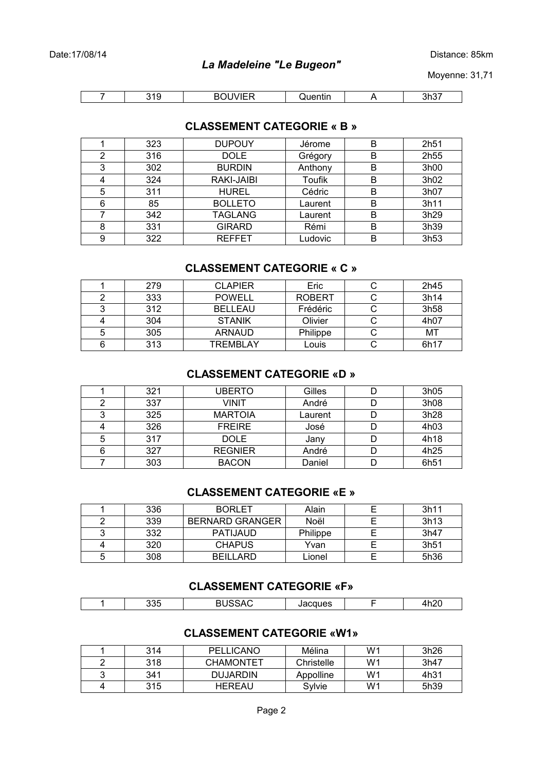Distance: 85km

Moyenne: 31,71

| . . | $\sim$ | . |  |
|-----|--------|---|--|

### **CLASSEMENT CATEGORIE « B »**

|   | 323 | <b>DUPOUY</b>  | Jérome  | B | 2h <sub>51</sub> |
|---|-----|----------------|---------|---|------------------|
| 2 | 316 | <b>DOLE</b>    | Grégory | B | 2h <sub>55</sub> |
| 3 | 302 | <b>BURDIN</b>  | Anthony | B | 3h00             |
| 4 | 324 | RAKI-JAIBI     | Toufik  | B | 3h02             |
| 5 | 311 | <b>HUREL</b>   | Cédric  | B | 3h07             |
| 6 | 85  | <b>BOLLETO</b> | Laurent | B | 3h11             |
|   | 342 | <b>TAGLANG</b> | Laurent | B | 3h29             |
| 8 | 331 | <b>GIRARD</b>  | Rémi    | B | 3h39             |
| 9 | 322 | <b>REFFET</b>  | Ludovic | B | 3h53             |

### **CLASSEMENT CATEGORIE « C »**

|   | 279 | CLAPIER         | Eric          | 2h45 |
|---|-----|-----------------|---------------|------|
|   | 333 | <b>POWELL</b>   | <b>ROBERT</b> | 3h14 |
|   | 312 | <b>BELLEAU</b>  | Frédéric      | 3h58 |
| 4 | 304 | <b>STANIK</b>   | Olivier       | 4h07 |
| 5 | 305 | ARNAUD          | Philippe      | МT   |
| 6 | 313 | <b>TREMBLAY</b> | Louis         | 6h17 |

#### **CLASSEMENT CATEGORIE «D »**

|   | 321 | <b>UBERTO</b>  | Gilles  | 3h05 |
|---|-----|----------------|---------|------|
|   | 337 | <b>VINIT</b>   | André   | 3h08 |
| 3 | 325 | <b>MARTOIA</b> | Laurent | 3h28 |
| 4 | 326 | <b>FREIRE</b>  | José    | 4h03 |
| 5 | 317 | <b>DOLE</b>    | Jany    | 4h18 |
| 6 | 327 | <b>REGNIER</b> | André   | 4h25 |
|   | 303 | <b>BACON</b>   | Daniel  | 6h51 |

#### **CLASSEMENT CATEGORIE «E »**

|   | 336 | <b>BORLET</b>          | Alain    | 3h11 |
|---|-----|------------------------|----------|------|
|   | 339 | <b>BERNARD GRANGER</b> | Noël     | 3h13 |
| ີ | 332 | <b>PATIJAUD</b>        | Philippe | 3h47 |
| 4 | 320 | <b>CHAPUS</b>          | Yvan     | 3h51 |
| 5 | 308 | REILLARD               | Lionel   | 5h36 |

## **CLASSEMENT CATEGORIE «F»**

| <br><b>KM</b><br>,,,,<br>. . | $\sim$<br>$-1$ . The set of $\sim$ |
|------------------------------|------------------------------------|

### **CLASSEMENT CATEGORIE «W1»**

|   | 314 | <b>PELLICANO</b> | Mélina     | W <sub>1</sub> | 3h26 |
|---|-----|------------------|------------|----------------|------|
|   | 318 | <b>CHAMONTET</b> | Christelle | W1             | 3h47 |
| ◠ | 341 | <b>DUJARDIN</b>  | Appolline  | W1             | 4h31 |
|   | 315 | <b>HEREAU</b>    | Sylvie     | W1             | 5h39 |